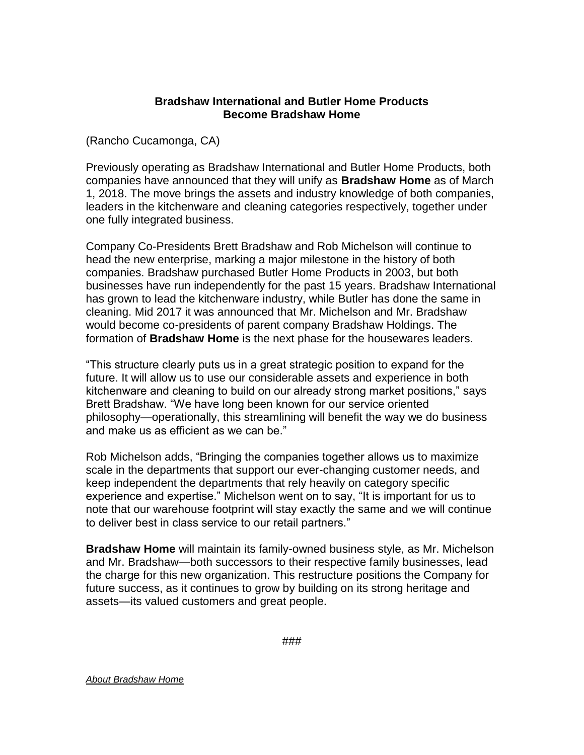## **Bradshaw International and Butler Home Products Become Bradshaw Home**

(Rancho Cucamonga, CA)

Previously operating as Bradshaw International and Butler Home Products, both companies have announced that they will unify as **Bradshaw Home** as of March 1, 2018. The move brings the assets and industry knowledge of both companies, leaders in the kitchenware and cleaning categories respectively, together under one fully integrated business.

Company Co-Presidents Brett Bradshaw and Rob Michelson will continue to head the new enterprise, marking a major milestone in the history of both companies. Bradshaw purchased Butler Home Products in 2003, but both businesses have run independently for the past 15 years. Bradshaw International has grown to lead the kitchenware industry, while Butler has done the same in cleaning. Mid 2017 it was announced that Mr. Michelson and Mr. Bradshaw would become co-presidents of parent company Bradshaw Holdings. The formation of **Bradshaw Home** is the next phase for the housewares leaders.

"This structure clearly puts us in a great strategic position to expand for the future. It will allow us to use our considerable assets and experience in both kitchenware and cleaning to build on our already strong market positions," says Brett Bradshaw. "We have long been known for our service oriented philosophy—operationally, this streamlining will benefit the way we do business and make us as efficient as we can be."

Rob Michelson adds, "Bringing the companies together allows us to maximize scale in the departments that support our ever-changing customer needs, and keep independent the departments that rely heavily on category specific experience and expertise." Michelson went on to say, "It is important for us to note that our warehouse footprint will stay exactly the same and we will continue to deliver best in class service to our retail partners."

**Bradshaw Home** will maintain its family-owned business style, as Mr. Michelson and Mr. Bradshaw—both successors to their respective family businesses, lead the charge for this new organization. This restructure positions the Company for future success, as it continues to grow by building on its strong heritage and assets—its valued customers and great people.

*About Bradshaw Home*